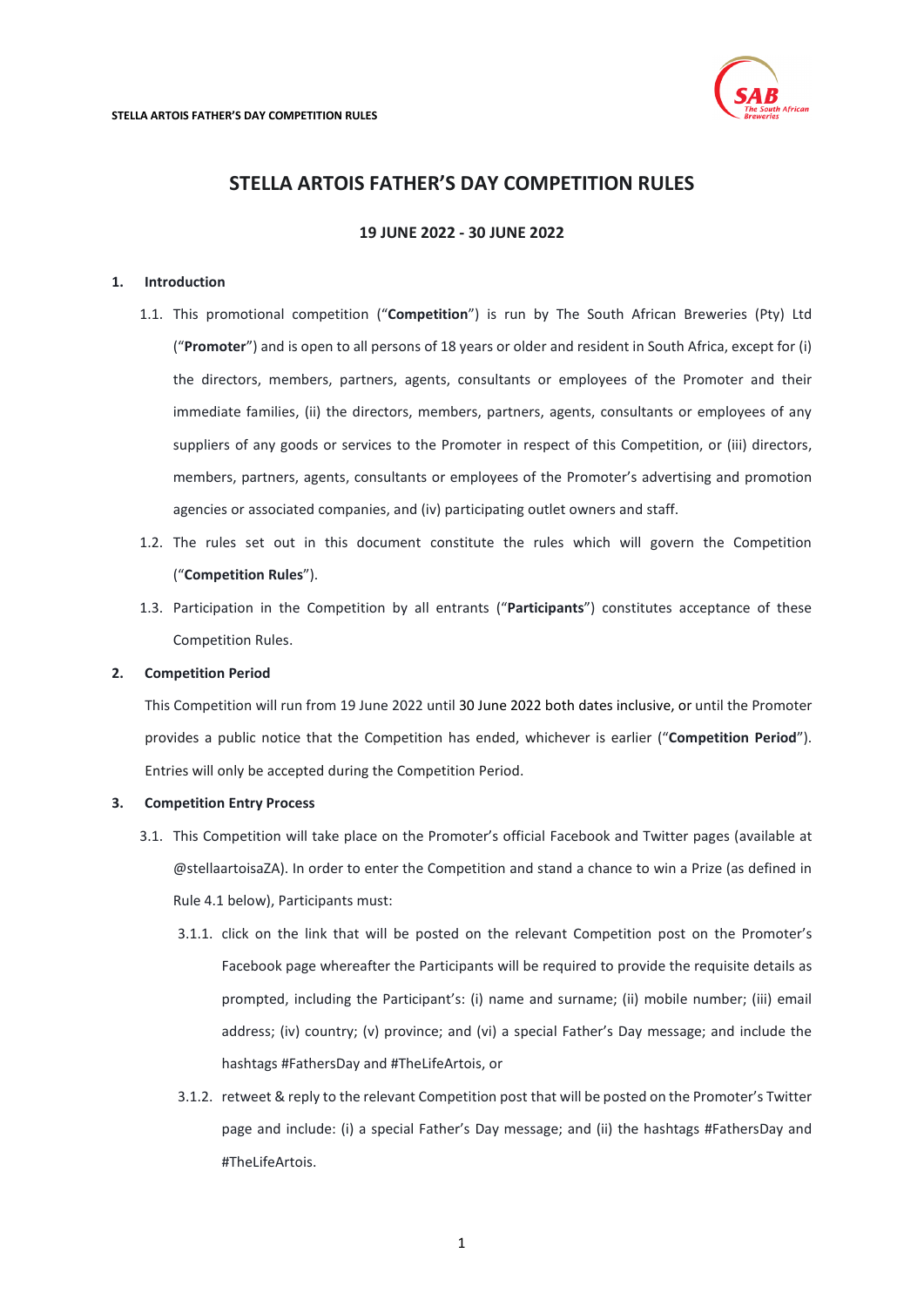

# **STELLA ARTOIS FATHER'S DAY COMPETITION RULES**

**19 JUNE 2022 - 30 JUNE 2022**

# <span id="page-0-1"></span>**1. Introduction**

- 1.1. This promotional competition ("**Competition**") is run by The South African Breweries (Pty) Ltd ("**Promoter**") and is open to all persons of 18 years or older and resident in South Africa, except for (i) the directors, members, partners, agents, consultants or employees of the Promoter and their immediate families, (ii) the directors, members, partners, agents, consultants or employees of any suppliers of any goods or services to the Promoter in respect of this Competition, or (iii) directors, members, partners, agents, consultants or employees of the Promoter's advertising and promotion agencies or associated companies, and (iv) participating outlet owners and staff.
- 1.2. The rules set out in this document constitute the rules which will govern the Competition ("**Competition Rules**").
- 1.3. Participation in the Competition by all entrants ("**Participants**") constitutes acceptance of these Competition Rules.

# **2. Competition Period**

This Competition will run from 19 June 2022 until 30 June 2022 both dates inclusive, or until the Promoter provides a public notice that the Competition has ended, whichever is earlier ("**Competition Period**"). Entries will only be accepted during the Competition Period.

# <span id="page-0-0"></span>**3. Competition Entry Process**

- 3.1. This Competition will take place on the Promoter's official Facebook and Twitter pages (available at @stellaartoisaZA). In order to enter the Competition and stand a chance to win a Prize (as defined in Rule [4.1](#page-1-0) below), Participants must:
	- 3.1.1. click on the link that will be posted on the relevant Competition post on the Promoter's Facebook page whereafter the Participants will be required to provide the requisite details as prompted, including the Participant's: (i) name and surname; (ii) mobile number; (iii) email address; (iv) country; (v) province; and (vi) a special Father's Day message; and include the hashtags #FathersDay and #TheLifeArtois, or
	- 3.1.2. retweet & reply to the relevant Competition post that will be posted on the Promoter's Twitter page and include: (i) a special Father's Day message; and (ii) the hashtags #FathersDay and #TheLifeArtois.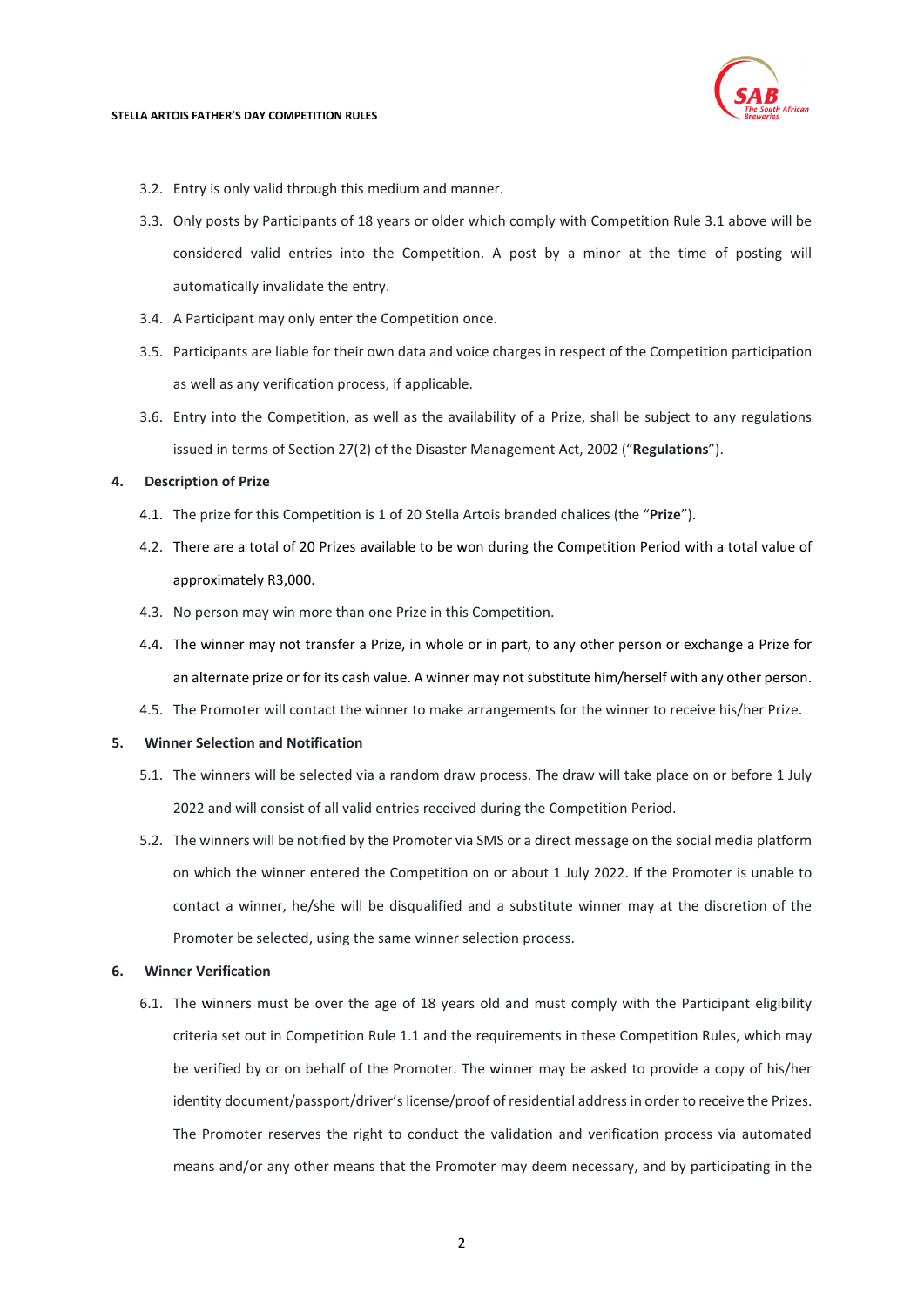#### **STELLA ARTOIS FATHER'S DAY COMPETITION RULES**



- 3.2. Entry is only valid through this medium and manner.
- 3.3. Only posts by Participants of 18 years or older which comply with Competition Rule [3.1](#page-0-0) above will be considered valid entries into the Competition. A post by a minor at the time of posting will automatically invalidate the entry.
- 3.4. A Participant may only enter the Competition once.
- 3.5. Participants are liable for their own data and voice charges in respect of the Competition participation as well as any verification process, if applicable.
- 3.6. Entry into the Competition, as well as the availability of a Prize, shall be subject to any regulations issued in terms of Section 27(2) of the Disaster Management Act, 2002 ("**Regulations**").

#### <span id="page-1-0"></span>**4. Description of Prize**

- 4.1. The prize for this Competition is 1 of 20 Stella Artois branded chalices (the "**Prize**").
- 4.2. There are a total of 20 Prizes available to be won during the Competition Period with a total value of approximately R3,000.
- 4.3. No person may win more than one Prize in this Competition.
- 4.4. The winner may not transfer a Prize, in whole or in part, to any other person or exchange a Prize for an alternate prize or for its cash value. A winner may not substitute him/herself with any other person.
- 4.5. The Promoter will contact the winner to make arrangements for the winner to receive his/her Prize.

# **5. Winner Selection and Notification**

- 5.1. The winners will be selected via a random draw process. The draw will take place on or before 1 July 2022 and will consist of all valid entries received during the Competition Period.
- 5.2. The winners will be notified by the Promoter via SMS or a direct message on the social media platform on which the winner entered the Competition on or about 1 July 2022. If the Promoter is unable to contact a winner, he/she will be disqualified and a substitute winner may at the discretion of the Promoter be selected, using the same winner selection process.

#### **6. Winner Verification**

6.1. The winners must be over the age of 18 years old and must comply with the Participant eligibility criteria set out in Competition Rul[e 1.1](#page-0-1) and the requirements in these Competition Rules, which may be verified by or on behalf of the Promoter. The winner may be asked to provide a copy of his/her identity document/passport/driver's license/proof of residential address in order to receive the Prizes. The Promoter reserves the right to conduct the validation and verification process via automated means and/or any other means that the Promoter may deem necessary, and by participating in the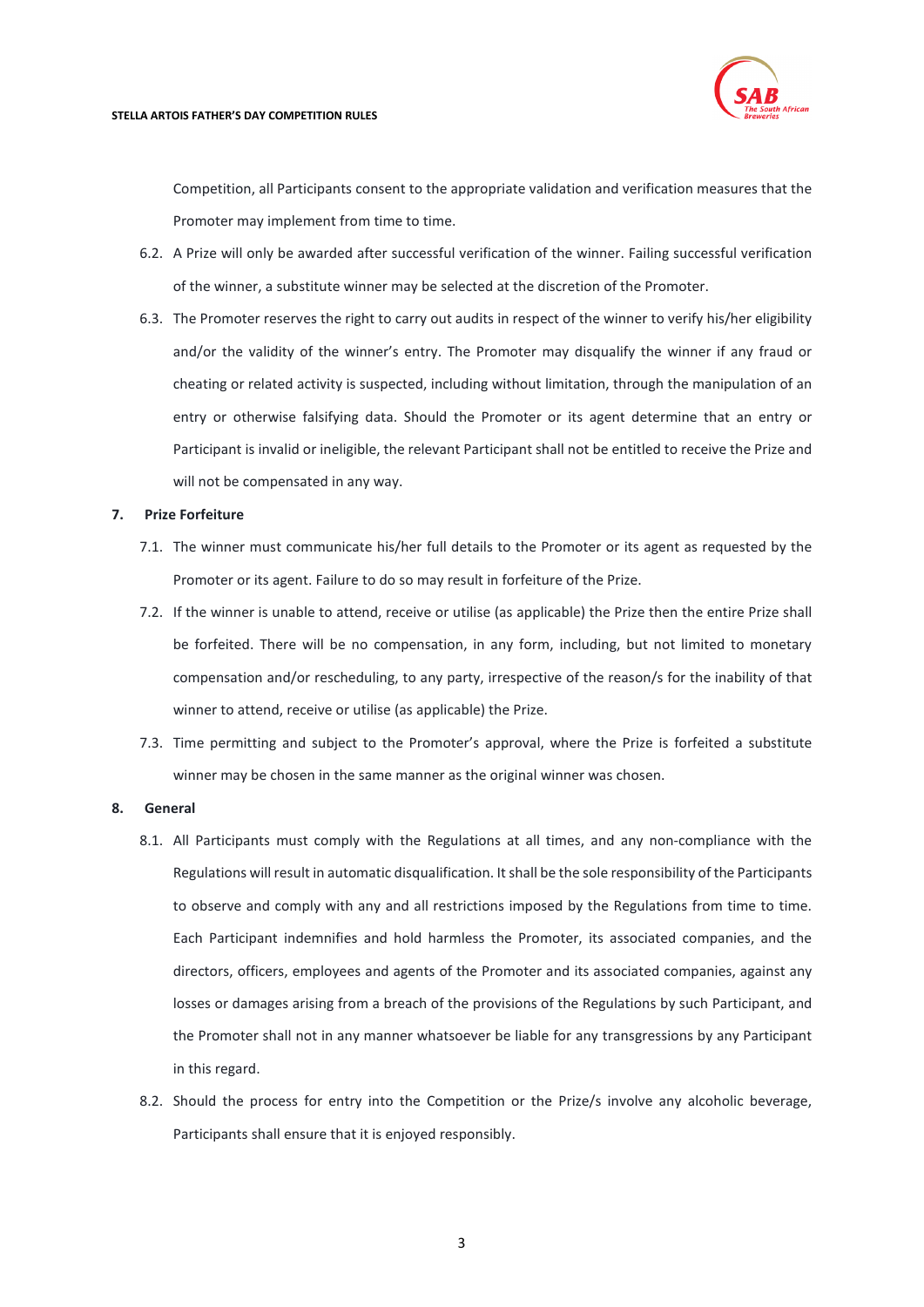

Competition, all Participants consent to the appropriate validation and verification measures that the Promoter may implement from time to time.

- 6.2. A Prize will only be awarded after successful verification of the winner. Failing successful verification of the winner, a substitute winner may be selected at the discretion of the Promoter.
- 6.3. The Promoter reserves the right to carry out audits in respect of the winner to verify his/her eligibility and/or the validity of the winner's entry. The Promoter may disqualify the winner if any fraud or cheating or related activity is suspected, including without limitation, through the manipulation of an entry or otherwise falsifying data. Should the Promoter or its agent determine that an entry or Participant is invalid or ineligible, the relevant Participant shall not be entitled to receive the Prize and will not be compensated in any way.

# **7. Prize Forfeiture**

- 7.1. The winner must communicate his/her full details to the Promoter or its agent as requested by the Promoter or its agent. Failure to do so may result in forfeiture of the Prize.
- 7.2. If the winner is unable to attend, receive or utilise (as applicable) the Prize then the entire Prize shall be forfeited. There will be no compensation, in any form, including, but not limited to monetary compensation and/or rescheduling, to any party, irrespective of the reason/s for the inability of that winner to attend, receive or utilise (as applicable) the Prize.
- 7.3. Time permitting and subject to the Promoter's approval, where the Prize is forfeited a substitute winner may be chosen in the same manner as the original winner was chosen.

# **8. General**

- 8.1. All Participants must comply with the Regulations at all times, and any non-compliance with the Regulations will result in automatic disqualification. It shall be the sole responsibility of the Participants to observe and comply with any and all restrictions imposed by the Regulations from time to time. Each Participant indemnifies and hold harmless the Promoter, its associated companies, and the directors, officers, employees and agents of the Promoter and its associated companies, against any losses or damages arising from a breach of the provisions of the Regulations by such Participant, and the Promoter shall not in any manner whatsoever be liable for any transgressions by any Participant in this regard.
- 8.2. Should the process for entry into the Competition or the Prize/s involve any alcoholic beverage, Participants shall ensure that it is enjoyed responsibly.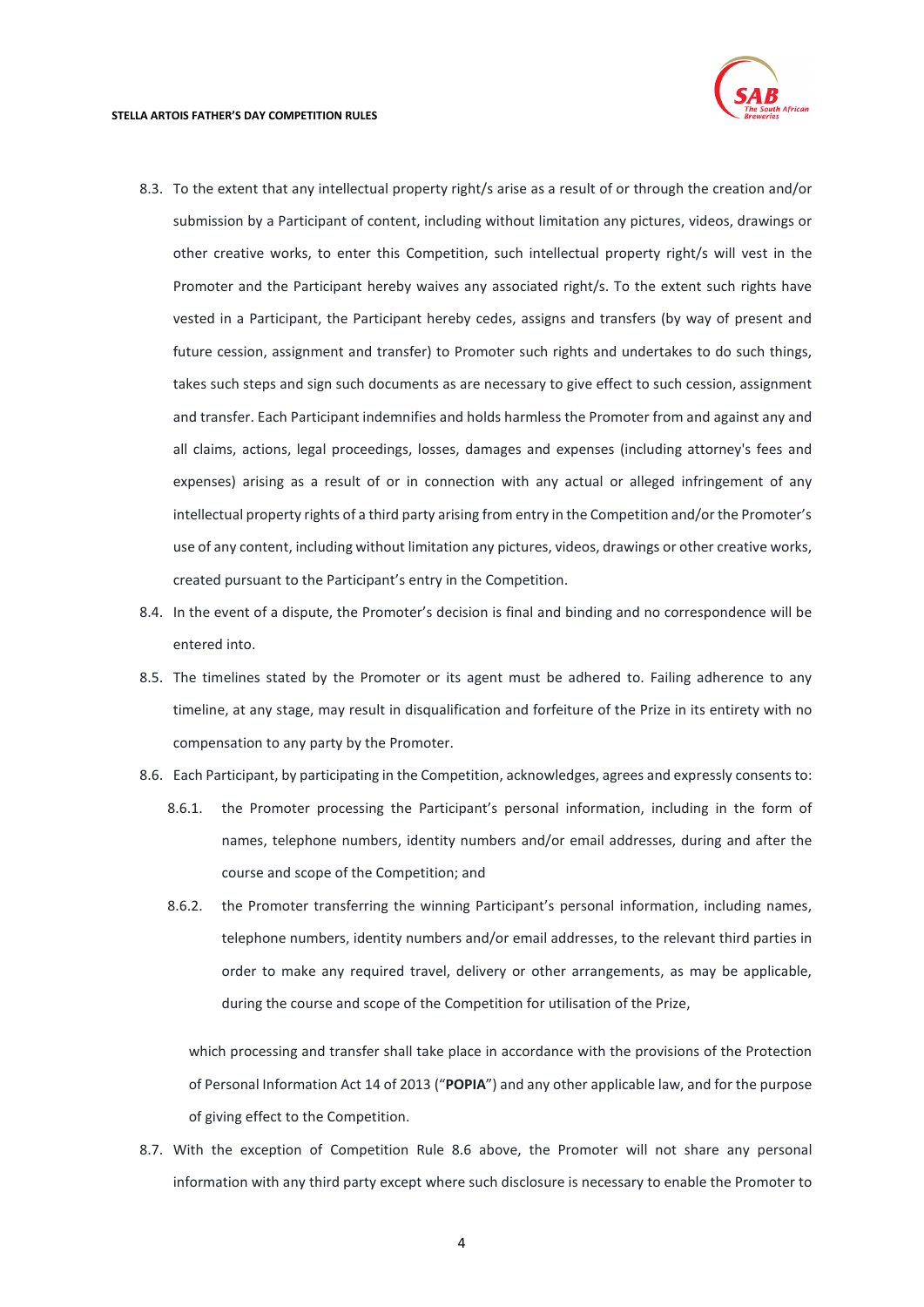

- 8.3. To the extent that any intellectual property right/s arise as a result of or through the creation and/or submission by a Participant of content, including without limitation any pictures, videos, drawings or other creative works, to enter this Competition, such intellectual property right/s will vest in the Promoter and the Participant hereby waives any associated right/s. To the extent such rights have vested in a Participant, the Participant hereby cedes, assigns and transfers (by way of present and future cession, assignment and transfer) to Promoter such rights and undertakes to do such things, takes such steps and sign such documents as are necessary to give effect to such cession, assignment and transfer. Each Participant indemnifies and holds harmless the Promoter from and against any and all claims, actions, legal proceedings, losses, damages and expenses (including attorney's fees and expenses) arising as a result of or in connection with any actual or alleged infringement of any intellectual property rights of a third party arising from entry in the Competition and/or the Promoter's use of any content, including without limitation any pictures, videos, drawings or other creative works, created pursuant to the Participant's entry in the Competition.
- 8.4. In the event of a dispute, the Promoter's decision is final and binding and no correspondence will be entered into.
- 8.5. The timelines stated by the Promoter or its agent must be adhered to. Failing adherence to any timeline, at any stage, may result in disqualification and forfeiture of the Prize in its entirety with no compensation to any party by the Promoter.
- <span id="page-3-0"></span>8.6. Each Participant, by participating in the Competition, acknowledges, agrees and expressly consents to:
	- 8.6.1. the Promoter processing the Participant's personal information, including in the form of names, telephone numbers, identity numbers and/or email addresses, during and after the course and scope of the Competition; and
	- 8.6.2. the Promoter transferring the winning Participant's personal information, including names, telephone numbers, identity numbers and/or email addresses, to the relevant third parties in order to make any required travel, delivery or other arrangements, as may be applicable, during the course and scope of the Competition for utilisation of the Prize,

which processing and transfer shall take place in accordance with the provisions of the Protection of Personal Information Act 14 of 2013 ("**POPIA**") and any other applicable law, and for the purpose of giving effect to the Competition.

8.7. With the exception of Competition Rule [8.6](#page-3-0) above, the Promoter will not share any personal information with any third party except where such disclosure is necessary to enable the Promoter to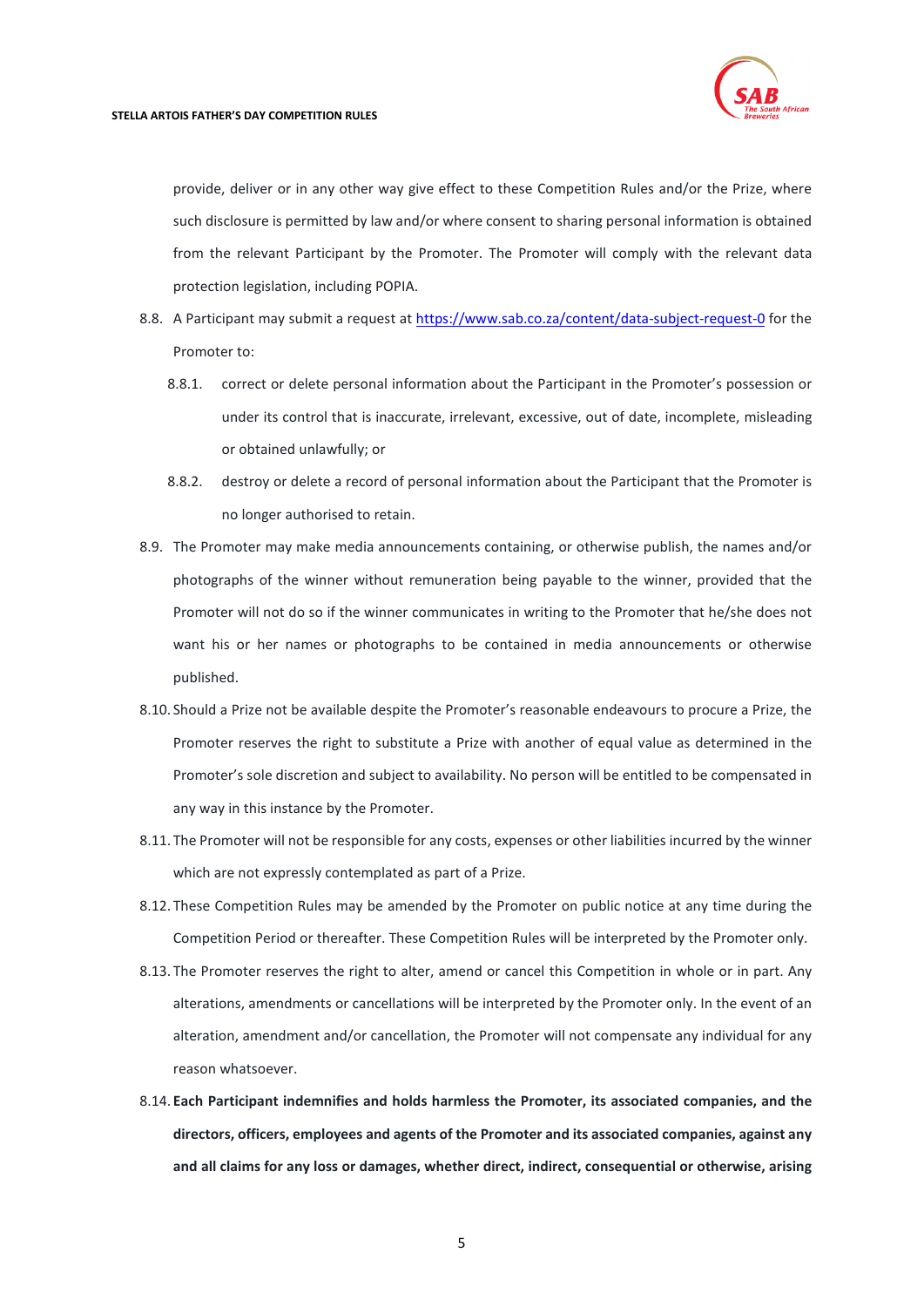

provide, deliver or in any other way give effect to these Competition Rules and/or the Prize, where such disclosure is permitted by law and/or where consent to sharing personal information is obtained from the relevant Participant by the Promoter. The Promoter will comply with the relevant data protection legislation, including POPIA.

- 8.8. A Participant may submit a request at<https://www.sab.co.za/content/data-subject-request-0> for the Promoter to:
	- 8.8.1. correct or delete personal information about the Participant in the Promoter's possession or under its control that is inaccurate, irrelevant, excessive, out of date, incomplete, misleading or obtained unlawfully; or
	- 8.8.2. destroy or delete a record of personal information about the Participant that the Promoter is no longer authorised to retain.
- 8.9. The Promoter may make media announcements containing, or otherwise publish, the names and/or photographs of the winner without remuneration being payable to the winner, provided that the Promoter will not do so if the winner communicates in writing to the Promoter that he/she does not want his or her names or photographs to be contained in media announcements or otherwise published.
- 8.10. Should a Prize not be available despite the Promoter's reasonable endeavours to procure a Prize, the Promoter reserves the right to substitute a Prize with another of equal value as determined in the Promoter's sole discretion and subject to availability. No person will be entitled to be compensated in any way in this instance by the Promoter.
- 8.11. The Promoter will not be responsible for any costs, expenses or other liabilities incurred by the winner which are not expressly contemplated as part of a Prize.
- 8.12. These Competition Rules may be amended by the Promoter on public notice at any time during the Competition Period or thereafter. These Competition Rules will be interpreted by the Promoter only.
- 8.13. The Promoter reserves the right to alter, amend or cancel this Competition in whole or in part. Any alterations, amendments or cancellations will be interpreted by the Promoter only. In the event of an alteration, amendment and/or cancellation, the Promoter will not compensate any individual for any reason whatsoever.
- 8.14. **Each Participant indemnifies and holds harmless the Promoter, its associated companies, and the directors, officers, employees and agents of the Promoter and its associated companies, against any and all claims for any loss or damages, whether direct, indirect, consequential or otherwise, arising**